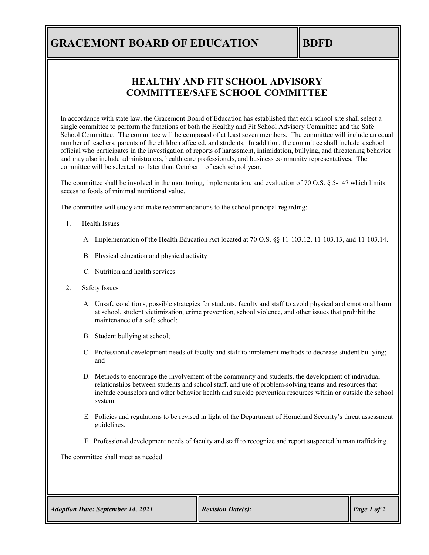## **GRACEMONT BOARD OF EDUCATION BDFD**

## **HEALTHY AND FIT SCHOOL ADVISORY COMMITTEE/SAFE SCHOOL COMMITTEE**

In accordance with state law, the Gracemont Board of Education has established that each school site shall select a single committee to perform the functions of both the Healthy and Fit School Advisory Committee and the Safe School Committee. The committee will be composed of at least seven members. The committee will include an equal number of teachers, parents of the children affected, and students. In addition, the committee shall include a school official who participates in the investigation of reports of harassment, intimidation, bullying, and threatening behavior and may also include administrators, health care professionals, and business community representatives. The committee will be selected not later than October 1 of each school year.

The committee shall be involved in the monitoring, implementation, and evaluation of 70 O.S. § 5-147 which limits access to foods of minimal nutritional value.

The committee will study and make recommendations to the school principal regarding:

- 1. Health Issues
	- A. Implementation of the Health Education Act located at 70 O.S. §§ 11-103.12, 11-103.13, and 11-103.14.
	- B. Physical education and physical activity
	- C. Nutrition and health services
- 2. Safety Issues
	- A. Unsafe conditions, possible strategies for students, faculty and staff to avoid physical and emotional harm at school, student victimization, crime prevention, school violence, and other issues that prohibit the maintenance of a safe school;
	- B. Student bullying at school;
	- C. Professional development needs of faculty and staff to implement methods to decrease student bullying; and
	- D. Methods to encourage the involvement of the community and students, the development of individual relationships between students and school staff, and use of problem-solving teams and resources that include counselors and other behavior health and suicide prevention resources within or outside the school system.
	- E. Policies and regulations to be revised in light of the Department of Homeland Security's threat assessment guidelines.
	- F. Professional development needs of faculty and staff to recognize and report suspected human trafficking.

The committee shall meet as needed.